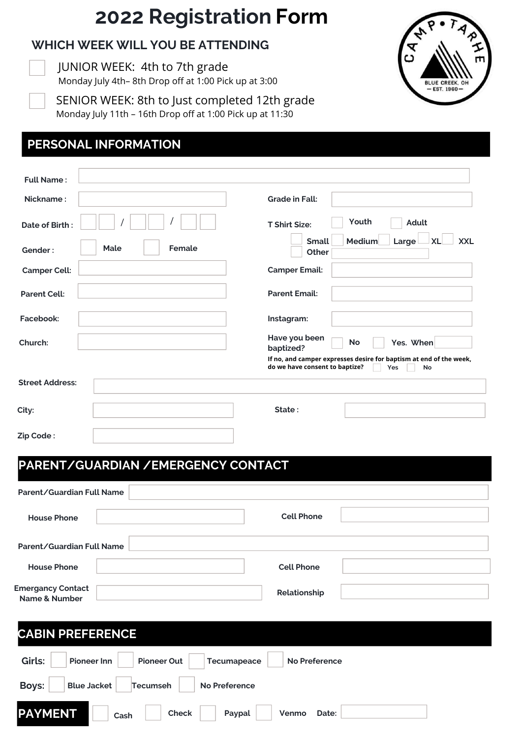# **2022 Registration Form**

#### **WHICH WEEK WILL YOU BE ATTENDING**

**EDUCATION.** JUNIOR WEEK: 4th to 7th grade Monday July 4th– 8th Drop off at 1:00 Pick up at 3:00



| SENIOR WEEK: 8th to Just completed 12th grade             |
|-----------------------------------------------------------|
| Monday July 11th - 16th Drop off at 1:00 Pick up at 11:30 |

# **PERSONAL INFORMATION**

| <b>Full Name:</b>      |                |                            |                                                                                                             |                                  |
|------------------------|----------------|----------------------------|-------------------------------------------------------------------------------------------------------------|----------------------------------|
| Nickname:              |                | <b>Grade in Fall:</b>      |                                                                                                             |                                  |
| Date of Birth:         |                | <b>T Shirt Size:</b>       | Youth                                                                                                       | <b>Adult</b>                     |
| Gender:                | Female<br>Male |                            | Medium<br><b>Small</b><br>Other                                                                             | <b>XXL</b><br>Large<br><b>XL</b> |
| <b>Camper Cell:</b>    |                | <b>Camper Email:</b>       |                                                                                                             |                                  |
| <b>Parent Cell:</b>    |                | <b>Parent Email:</b>       |                                                                                                             |                                  |
| Facebook:              |                | Instagram:                 |                                                                                                             |                                  |
| Church:                |                | Have you been<br>baptized? | <b>No</b>                                                                                                   | Yes. When                        |
|                        |                |                            | If no, and camper expresses desire for baptism at end of the week,<br>do we have consent to baptize?<br>Yes | No                               |
| <b>Street Address:</b> |                |                            |                                                                                                             |                                  |
| City:                  |                | State:                     |                                                                                                             |                                  |
| Zip Code:              |                |                            |                                                                                                             |                                  |

### **PARENT/GUARDIAN /EMERGENCY CONTACT**

| Parent/Guardian Full Name                 |                                                           |  |  |
|-------------------------------------------|-----------------------------------------------------------|--|--|
| <b>House Phone</b>                        | <b>Cell Phone</b>                                         |  |  |
| Parent/Guardian Full Name                 |                                                           |  |  |
| <b>House Phone</b>                        | <b>Cell Phone</b>                                         |  |  |
| <b>Emergancy Contact</b><br>Name & Number | Relationship                                              |  |  |
| <b>CABIN PREFERENCE</b>                   |                                                           |  |  |
| Girls:<br><b>Pioneer Inn</b>              | <b>Pioneer Out</b><br><b>No Preference</b><br>Tecumapeace |  |  |
| <b>Boys:</b><br><b>Blue Jacket</b>        | <b>No Preference</b><br><b>Tecumseh</b>                   |  |  |
| <b>PAYMENT</b>                            | <b>Check</b><br>Paypal<br>Venmo<br>Date:<br>Cash          |  |  |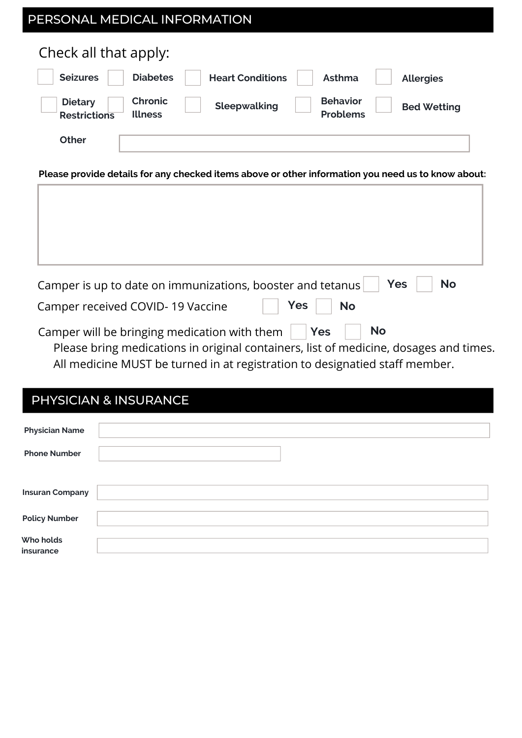| PERSONAL MEDICAL INFORMATION                                                              |                                                          |  |  |  |
|-------------------------------------------------------------------------------------------|----------------------------------------------------------|--|--|--|
| Check all that apply:                                                                     |                                                          |  |  |  |
| <b>Diabetes</b><br><b>Seizures</b><br><b>Heart Conditions</b>                             | Asthma<br><b>Allergies</b>                               |  |  |  |
| <b>Chronic</b><br><b>Dietary</b><br>Sleepwalking<br><b>Illness</b><br><b>Restrictions</b> | <b>Behavior</b><br><b>Bed Wetting</b><br><b>Problems</b> |  |  |  |
| <b>Other</b>                                                                              |                                                          |  |  |  |

**Please provide details for any checked items above or other information you need us to know about:**

| Camper is up to date on immunizations, booster and tetanus<br>Yes<br><b>No</b><br>$ $ Yes<br>Camper received COVID-19 Vaccine<br><b>No</b>                           |
|----------------------------------------------------------------------------------------------------------------------------------------------------------------------|
| Camper will be bringing medication with them $\vert \vert$ Yes<br><b>No</b><br>Please bring medications in original containers, list of medicine, dosages and times. |

All medicine MUST be turned in at registration to designatied staff member.

# PHYSICIAN & INSURANCE

| <b>Physician Name</b>  |  |
|------------------------|--|
|                        |  |
| <b>Phone Number</b>    |  |
|                        |  |
|                        |  |
|                        |  |
| <b>Insuran Company</b> |  |
|                        |  |
| <b>Policy Number</b>   |  |
|                        |  |
|                        |  |
| Who holds              |  |
| insurance              |  |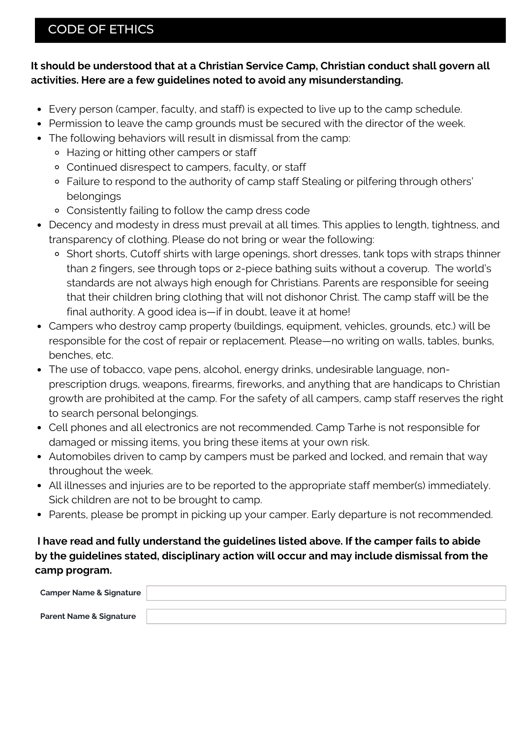## CODE OF ETHICS

#### **It should be understood that at a Christian Service Camp, Christian conduct shall govern all activities. Here are a few guidelines noted to avoid any misunderstanding.**

- Every person (camper, faculty, and staff) is expected to live up to the camp schedule.
- Permission to leave the camp grounds must be secured with the director of the week.
- The following behaviors will result in dismissal from the camp:
	- Hazing or hitting other campers or staff
	- Continued disrespect to campers, faculty, or staff
	- Failure to respond to the authority of camp staff Stealing or pilfering through others' belongings
	- Consistently failing to follow the camp dress code
- Decency and modesty in dress must prevail at all times. This applies to length, tightness, and transparency of clothing. Please do not bring or wear the following:
	- o Short shorts, Cutoff shirts with large openings, short dresses, tank tops with straps thinner than 2 fingers, see through tops or 2-piece bathing suits without a coverup. The world's standards are not always high enough for Christians. Parents are responsible for seeing that their children bring clothing that will not dishonor Christ. The camp staff will be the final authority. A good idea is—if in doubt, leave it at home!
- Campers who destroy camp property (buildings, equipment, vehicles, grounds, etc.) will be responsible for the cost of repair or replacement. Please—no writing on walls, tables, bunks, benches, etc.
- The use of tobacco, vape pens, alcohol, energy drinks, undesirable language, nonprescription drugs, weapons, firearms, fireworks, and anything that are handicaps to Christian growth are prohibited at the camp. For the safety of all campers, camp staff reserves the right to search personal belongings.
- Cell phones and all electronics are not recommended. Camp Tarhe is not responsible for damaged or missing items, you bring these items at your own risk.
- Automobiles driven to camp by campers must be parked and locked, and remain that way throughout the week.
- All illnesses and injuries are to be reported to the appropriate staff member(s) immediately. Sick children are not to be brought to camp.
- Parents, please be prompt in picking up your camper. Early departure is not recommended.

#### **I have read and fully understand the guidelines listed above. If the camper fails to abide by the guidelines stated, disciplinary action will occur and may include dismissal from the camp program.**

| <b>Camper Name &amp; Signature</b> |  |
|------------------------------------|--|
| <b>Parent Name &amp; Signature</b> |  |